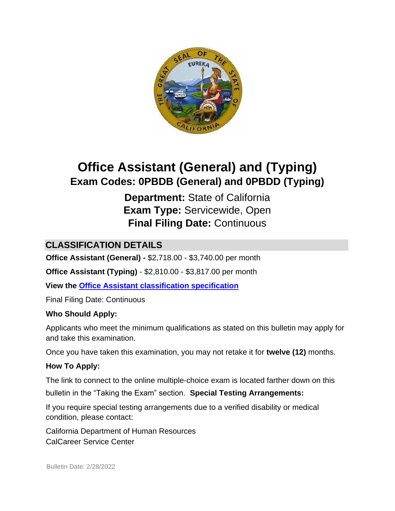

# **Office Assistant (General) and (Typing) Exam Codes: 0PBDB (General) and 0PBDD (Typing)**

**Department:** State of California **Exam Type:** Servicewide, Open **Final Filing Date:** Continuous

# **CLASSIFICATION DETAILS**

**Office Assistant (General) -** \$2,718.00 - \$3,740.00 per month

**Office Assistant (Typing)** - \$2,810.00 - \$3,817.00 per month

**View the [Office Assistant classification](http://www.calhr.ca.gov/state-hr-professionals/pages/1441.aspx) [specification](http://www.calhr.ca.gov/state-hr-professionals/pages/1441.aspx)**

Final Filing Date: Continuous

#### **Who Should Apply:**

Applicants who meet the minimum qualifications as stated on this bulletin may apply for and take this examination.

Once you have taken this examination, you may not retake it for **twelve (12)** months.

#### **How To Apply:**

The link to connect to the online multiple-choice exam is located farther down on this bulletin in the "Taking the Exam" section. **Special Testing Arrangements:** 

If you require special testing arrangements due to a verified disability or medical condition, please contact:

California Department of Human Resources CalCareer Service Center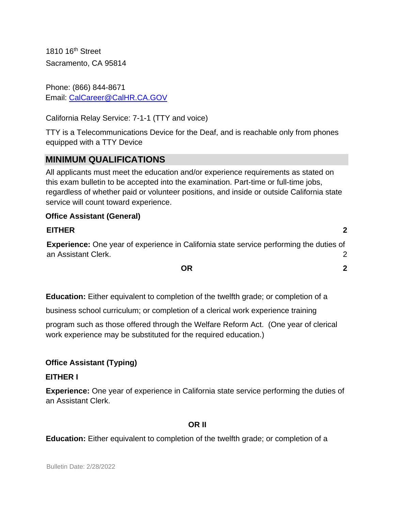1810 16<sup>th</sup> Street Sacramento, CA 95814

Phone: (866) 844-8671 Email: CalCareer@CalHR.CA.GOV

California Relay Service: 7-1-1 (TTY and voice)

TTY is a Telecommunications Device for the Deaf, and is reachable only from phones equipped with a TTY Device

## **MINIMUM QUALIFICATIONS**

All applicants must meet the education and/or experience requirements as stated on this exam bulletin to be accepted into the examination. Part-time or full-time jobs, regardless of whether paid or volunteer positions, and inside or outside California state service will count toward experience.

#### **Office Assistant (General)**

#### **[EITHER](#page-1-0) 2**

**Experience:** [One year of experience in California state service performing the duties of](#page-1-1)  [an Assistant Clerk.](#page-1-1) 2

**[OR](#page-1-2) 2**

**Education:** Either equivalent to completion of the twelfth grade; or completion of a

business school curriculum; or completion of a clerical work experience training

program such as those offered through the Welfare Reform Act. (One year of clerical work experience may be substituted for the required education.)

#### **Office Assistant (Typing)**

#### <span id="page-1-0"></span>**EITHER I**

<span id="page-1-1"></span>**Experience:** One year of experience in California state service performing the duties of an Assistant Clerk.

#### **OR II**

<span id="page-1-2"></span>**Education:** Either equivalent to completion of the twelfth grade; or completion of a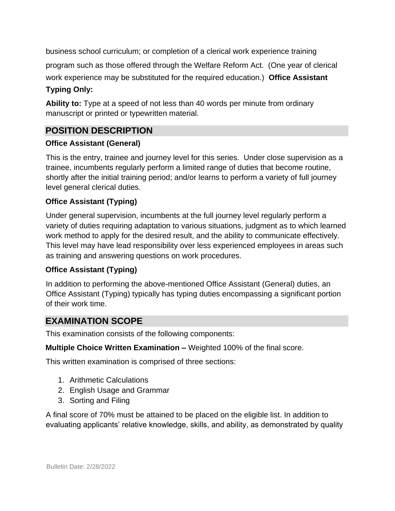business school curriculum; or completion of a clerical work experience training

program such as those offered through the Welfare Reform Act. (One year of clerical work experience may be substituted for the required education.) **Office Assistant** 

#### **Typing Only:**

**Ability to:** Type at a speed of not less than 40 words per minute from ordinary manuscript or printed or typewritten material.

# **POSITION DESCRIPTION**

### **Office Assistant (General)**

This is the entry, trainee and journey level for this series. Under close supervision as a trainee, incumbents regularly perform a limited range of duties that become routine, shortly after the initial training period; and/or learns to perform a variety of full journey level general clerical duties.

### **Office Assistant (Typing)**

Under general supervision, incumbents at the full journey level regularly perform a variety of duties requiring adaptation to various situations, judgment as to which learned work method to apply for the desired result, and the ability to communicate effectively. This level may have lead responsibility over less experienced employees in areas such as training and answering questions on work procedures.

## **Office Assistant (Typing)**

In addition to performing the above-mentioned Office Assistant (General) duties, an Office Assistant (Typing) typically has typing duties encompassing a significant portion of their work time.

## **EXAMINATION SCOPE**

This examination consists of the following components:

**Multiple Choice Written Examination –** Weighted 100% of the final score.

This written examination is comprised of three sections:

- 1. Arithmetic Calculations
- 2. English Usage and Grammar
- 3. Sorting and Filing

A final score of 70% must be attained to be placed on the eligible list. In addition to evaluating applicants' relative knowledge, skills, and ability, as demonstrated by quality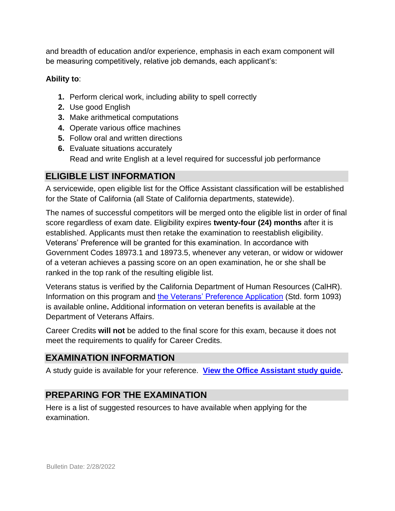and breadth of education and/or experience, emphasis in each exam component will be measuring competitively, relative job demands, each applicant's:

#### **Ability to**:

- **1.** Perform clerical work, including ability to spell correctly
- **2.** Use good English
- **3.** Make arithmetical computations
- **4.** Operate various office machines
- **5.** Follow oral and written directions
- **6.** Evaluate situations accurately Read and write English at a level required for successful job performance

# **ELIGIBLE LIST INFORMATION**

A servicewide, open eligible list for the Office Assistant classification will be established for the State of California (all State of California departments, statewide).

The names of successful competitors will be merged onto the eligible list in order of final score regardless of exam date. Eligibility expires **twenty-four (24) months** after it is established. Applicants must then retake the examination to reestablish eligibility. Veterans' Preference will be granted for this examination. In accordance with Government Codes 18973.1 and 18973.5, whenever any veteran, or widow or widower of a veteran achieves a passing score on an open examination, he or she shall be ranked in the top rank of the resulting eligible list.

Veterans status is verified by the California Department of Human Resources (CalHR). Information on this program and [the Veterans' Preference Application](https://www.jobs.ca.gov/CalHRPublic/Landing/Jobs/VeteransInformation.aspx) [\(S](https://www.jobs.ca.gov/CalHRPublic/Landing/Jobs/VeteransInformation.aspx)td. form 1093) is available online**.** Additional information on veteran benefits is available at the Department of Veterans Affairs.

Career Credits **will not** be added to the final score for this exam, because it does not meet the requirements to qualify for Career Credits.

## **EXAMINATION INFORMATION**

A study guide is available for your reference. **[View the Office Assistant study guide.](https://jobs.ca.gov/jobsgen/4pb25b.pdf)**

# **PREPARING FOR THE EXAMINATION**

Here is a list of suggested resources to have available when applying for the examination.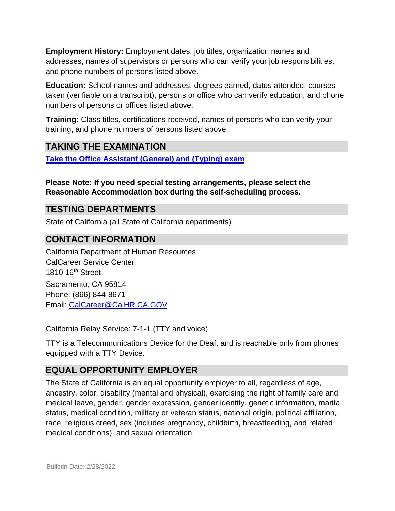**Employment History:** Employment dates, job titles, organization names and addresses, names of supervisors or persons who can verify your job responsibilities, and phone numbers of persons listed above.

**Education:** School names and addresses, degrees earned, dates attended, courses taken (verifiable on a transcript), persons or office who can verify education, and phone numbers of persons or offices listed above.

**Training:** Class titles, certifications received, names of persons who can verify your training, and phone numbers of persons listed above.

# **TAKING THE EXAMINATION**

**[Take the Office Assistant \(General\) and \(Typing\)](https://www.jobs.ca.gov/CalHRPublic/Login.aspx?ExamId=0PBDB) [exam](https://www.jobs.ca.gov/CalHRPublic/Login.aspx?ExamId=0PBDB)**

**Please Note: If you need special testing arrangements, please select the Reasonable Accommodation box during the self-scheduling process.**

## **TESTING DEPARTMENTS**

State of California (all State of California departments)

### **CONTACT INFORMATION**

California Department of Human Resources CalCareer Service Center 1810 16th Street Sacramento, CA 95814 Phone: (866) 844-8671 Email: CalCareer@CalHR.CA.GOV

California Relay Service: 7-1-1 (TTY and voice)

TTY is a Telecommunications Device for the Deaf, and is reachable only from phones equipped with a TTY Device.

## **EQUAL OPPORTUNITY EMPLOYER**

The State of California is an equal opportunity employer to all, regardless of age, ancestry, color, disability (mental and physical), exercising the right of family care and medical leave, gender, gender expression, gender identity, genetic information, marital status, medical condition, military or veteran status, national origin, political affiliation, race, religious creed, sex (includes pregnancy, childbirth, breastfeeding, and related medical conditions), and sexual orientation.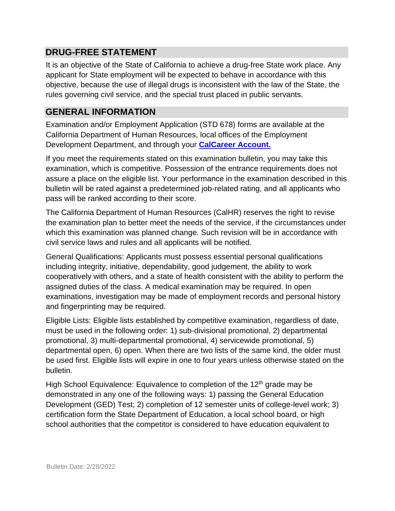## **DRUG-FREE STATEMENT**

It is an objective of the State of California to achieve a drug-free State work place. Any applicant for State employment will be expected to behave in accordance with this objective, because the use of illegal drugs is inconsistent with the law of the State, the rules governing civil service, and the special trust placed in public servants.

# **GENERAL INFORMATION**

Examination and/or Employment Application (STD 678) forms are available at the California Department of Human Resources, local offices of the Employment Development Department, and through your **[CalCareer Account.](http://www.jobs.ca.gov/)**

If you meet the requirements stated on this examination bulletin, you may take this examination, which is competitive. Possession of the entrance requirements does not assure a place on the eligible list. Your performance in the examination described in this bulletin will be rated against a predetermined job-related rating, and all applicants who pass will be ranked according to their score.

The California Department of Human Resources (CalHR) reserves the right to revise the examination plan to better meet the needs of the service, if the circumstances under which this examination was planned change. Such revision will be in accordance with civil service laws and rules and all applicants will be notified.

General Qualifications: Applicants must possess essential personal qualifications including integrity, initiative, dependability, good judgement, the ability to work cooperatively with others, and a state of health consistent with the ability to perform the assigned duties of the class. A medical examination may be required. In open examinations, investigation may be made of employment records and personal history and fingerprinting may be required.

Eligible Lists: Eligible lists established by competitive examination, regardless of date, must be used in the following order: 1) sub-divisional promotional, 2) departmental promotional, 3) multi-departmental promotional, 4) servicewide promotional, 5) departmental open, 6) open. When there are two lists of the same kind, the older must be used first. Eligible lists will expire in one to four years unless otherwise stated on the bulletin.

High School Equivalence: Equivalence to completion of the  $12<sup>th</sup>$  grade may be demonstrated in any one of the following ways: 1) passing the General Education Development (GED) Test; 2) completion of 12 semester units of college-level work; 3) certification form the State Department of Education, a local school board, or high school authorities that the competitor is considered to have education equivalent to